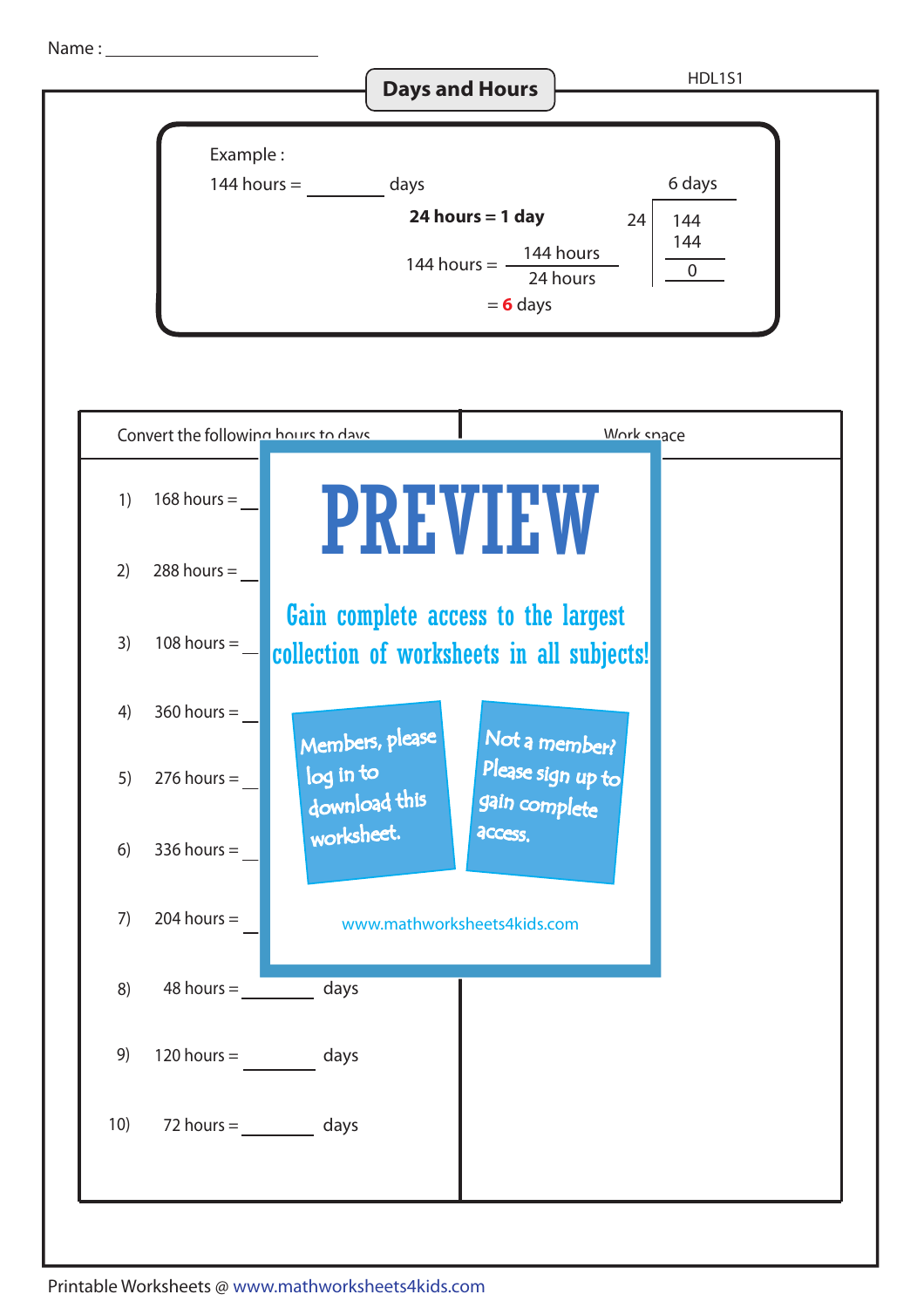Name :